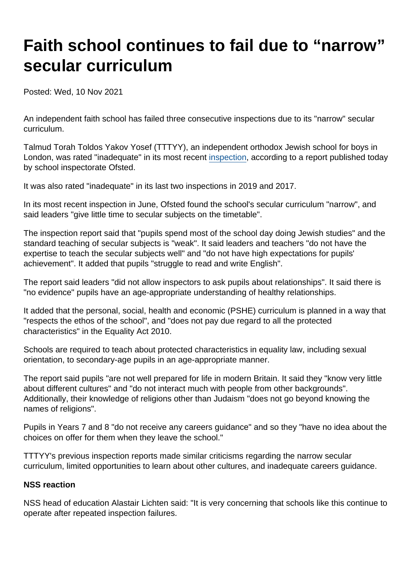# Faith school continues to fail due to "narrow" secular curriculum

Posted: Wed, 10 Nov 2021

An independent faith school has failed three consecutive inspections due to its "narrow" secular curriculum.

Talmud Torah Toldos Yakov Yosef (TTTYY), an independent orthodox Jewish school for boys in London, was rated "inadequate" in its most recent [inspection](https://reports.ofsted.gov.uk/provider/27/100299), according to a report published today by school inspectorate Ofsted.

It was also rated "inadequate" in its last two inspections in 2019 and 2017.

In its most recent inspection in June, Ofsted found the school's secular curriculum "narrow", and said leaders "give little time to secular subjects on the timetable".

The inspection report said that "pupils spend most of the school day doing Jewish studies" and the standard teaching of secular subjects is "weak". It said leaders and teachers "do not have the expertise to teach the secular subjects well" and "do not have high expectations for pupils' achievement". It added that pupils "struggle to read and write English".

The report said leaders "did not allow inspectors to ask pupils about relationships". It said there is "no evidence" pupils have an age-appropriate understanding of healthy relationships.

It added that the personal, social, health and economic (PSHE) curriculum is planned in a way that "respects the ethos of the school", and "does not pay due regard to all the protected characteristics" in the Equality Act 2010.

Schools are required to teach about protected characteristics in equality law, including sexual orientation, to secondary-age pupils in an age-appropriate manner.

The report said pupils "are not well prepared for life in modern Britain. It said they "know very little about different cultures" and "do not interact much with people from other backgrounds". Additionally, their knowledge of religions other than Judaism "does not go beyond knowing the names of religions".

Pupils in Years 7 and 8 "do not receive any careers guidance" and so they "have no idea about the choices on offer for them when they leave the school."

TTTYY's previous inspection reports made similar criticisms regarding the narrow secular curriculum, limited opportunities to learn about other cultures, and inadequate careers guidance.

#### NSS reaction

NSS head of education Alastair Lichten said: "It is very concerning that schools like this continue to operate after repeated inspection failures.